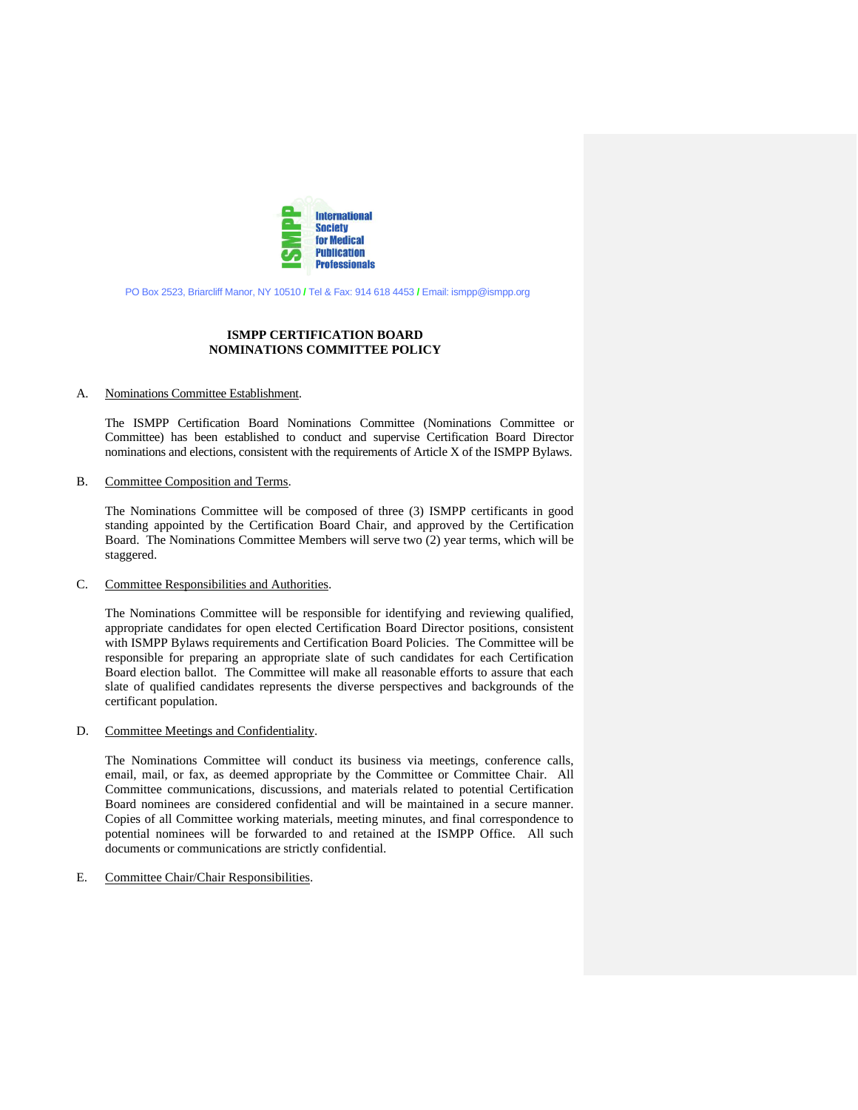

PO Box 2523, Briarcliff Manor, NY 10510 **/** Tel & Fax: 914 618 4453 **/** Email: ismpp@ismpp.org

# **ISMPP CERTIFICATION BOARD NOMINATIONS COMMITTEE POLICY**

#### A. Nominations Committee Establishment.

The ISMPP Certification Board Nominations Committee (Nominations Committee or Committee) has been established to conduct and supervise Certification Board Director nominations and elections, consistent with the requirements of Article X of the ISMPP Bylaws.

### B. Committee Composition and Terms.

The Nominations Committee will be composed of three (3) ISMPP certificants in good standing appointed by the Certification Board Chair, and approved by the Certification Board. The Nominations Committee Members will serve two (2) year terms, which will be staggered.

#### C. Committee Responsibilities and Authorities.

The Nominations Committee will be responsible for identifying and reviewing qualified, appropriate candidates for open elected Certification Board Director positions, consistent with ISMPP Bylaws requirements and Certification Board Policies. The Committee will be responsible for preparing an appropriate slate of such candidates for each Certification Board election ballot. The Committee will make all reasonable efforts to assure that each slate of qualified candidates represents the diverse perspectives and backgrounds of the certificant population.

### D. Committee Meetings and Confidentiality.

The Nominations Committee will conduct its business via meetings, conference calls, email, mail, or fax, as deemed appropriate by the Committee or Committee Chair. All Committee communications, discussions, and materials related to potential Certification Board nominees are considered confidential and will be maintained in a secure manner. Copies of all Committee working materials, meeting minutes, and final correspondence to potential nominees will be forwarded to and retained at the ISMPP Office. All such documents or communications are strictly confidential.

## E. Committee Chair/Chair Responsibilities.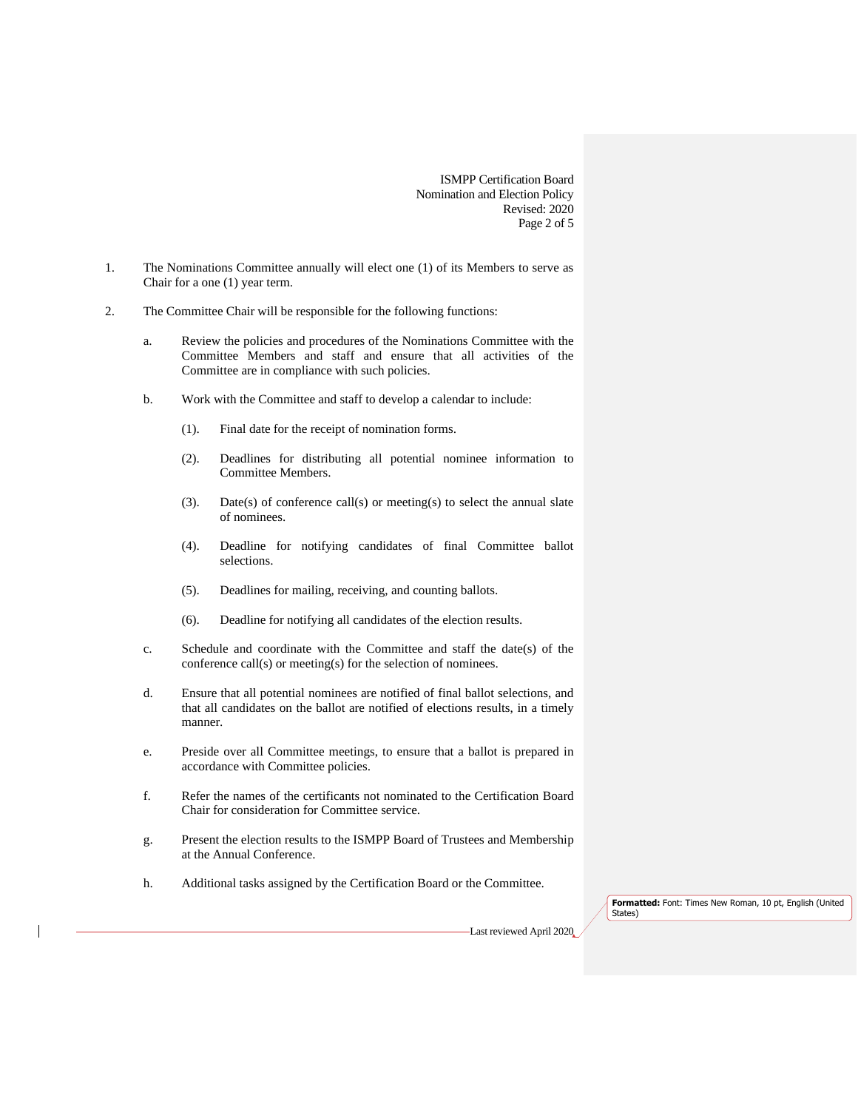ISMPP Certification Board Nomination and Election Policy Revised: 2020 Page 2 of 5

- 1. The Nominations Committee annually will elect one (1) of its Members to serve as Chair for a one (1) year term.
- 2. The Committee Chair will be responsible for the following functions:
	- a. Review the policies and procedures of the Nominations Committee with the Committee Members and staff and ensure that all activities of the Committee are in compliance with such policies.
	- b. Work with the Committee and staff to develop a calendar to include:
		- (1). Final date for the receipt of nomination forms.
		- (2). Deadlines for distributing all potential nominee information to Committee Members.
		- (3). Date(s) of conference call(s) or meeting(s) to select the annual slate of nominees.
		- (4). Deadline for notifying candidates of final Committee ballot selections.
		- (5). Deadlines for mailing, receiving, and counting ballots.
		- (6). Deadline for notifying all candidates of the election results.
	- c. Schedule and coordinate with the Committee and staff the date(s) of the conference call(s) or meeting(s) for the selection of nominees.
	- d. Ensure that all potential nominees are notified of final ballot selections, and that all candidates on the ballot are notified of elections results, in a timely manner.
	- e. Preside over all Committee meetings, to ensure that a ballot is prepared in accordance with Committee policies.
	- f. Refer the names of the certificants not nominated to the Certification Board Chair for consideration for Committee service.
	- g. Present the election results to the ISMPP Board of Trustees and Membership at the Annual Conference.
	- h. Additional tasks assigned by the Certification Board or the Committee.

**Formatted:** Font: Times New Roman, 10 pt, English (United States)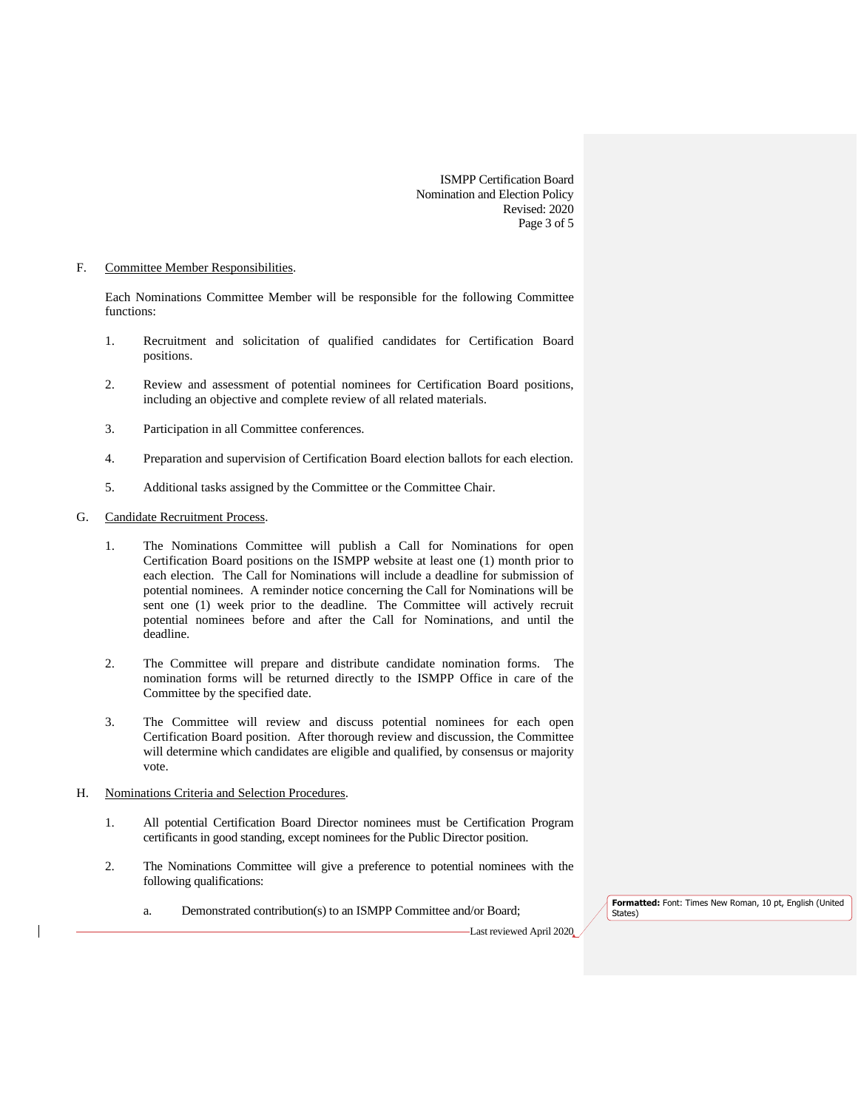ISMPP Certification Board Nomination and Election Policy Revised: 2020 Page 3 of 5

# F. Committee Member Responsibilities.

Each Nominations Committee Member will be responsible for the following Committee functions:

- 1. Recruitment and solicitation of qualified candidates for Certification Board positions.
- 2. Review and assessment of potential nominees for Certification Board positions, including an objective and complete review of all related materials.
- 3. Participation in all Committee conferences.
- 4. Preparation and supervision of Certification Board election ballots for each election.
- 5. Additional tasks assigned by the Committee or the Committee Chair.

## G. Candidate Recruitment Process.

- 1. The Nominations Committee will publish a Call for Nominations for open Certification Board positions on the ISMPP website at least one (1) month prior to each election. The Call for Nominations will include a deadline for submission of potential nominees. A reminder notice concerning the Call for Nominations will be sent one (1) week prior to the deadline. The Committee will actively recruit potential nominees before and after the Call for Nominations, and until the deadline.
- 2. The Committee will prepare and distribute candidate nomination forms. The nomination forms will be returned directly to the ISMPP Office in care of the Committee by the specified date.
- 3. The Committee will review and discuss potential nominees for each open Certification Board position. After thorough review and discussion, the Committee will determine which candidates are eligible and qualified, by consensus or majority vote.
- H. Nominations Criteria and Selection Procedures.
	- 1. All potential Certification Board Director nominees must be Certification Program certificants in good standing, except nominees for the Public Director position.
	- 2. The Nominations Committee will give a preference to potential nominees with the following qualifications:
		- a. Demonstrated contribution(s) to an ISMPP Committee and/or Board;

**Formatted:** Font: Times New Roman, 10 pt, English (United States)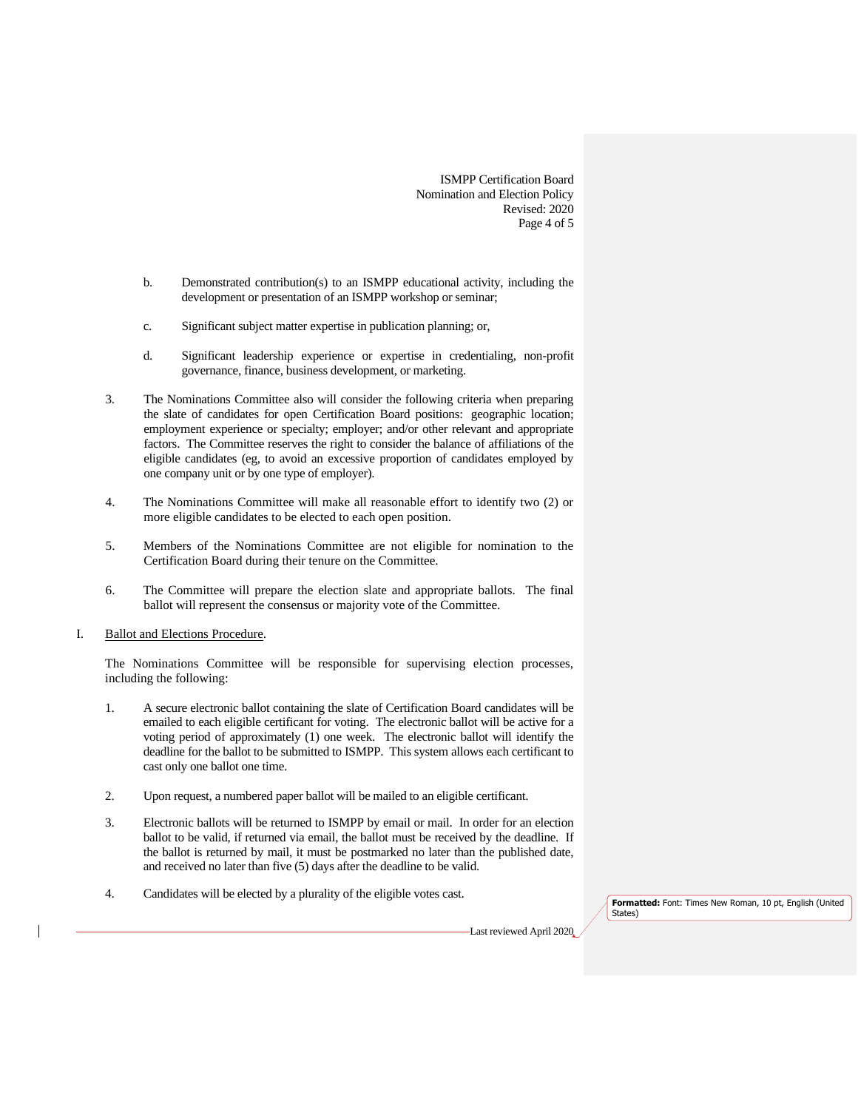ISMPP Certification Board Nomination and Election Policy Revised: 2020 Page 4 of 5

- b. Demonstrated contribution(s) to an ISMPP educational activity, including the development or presentation of an ISMPP workshop or seminar;
- c. Significant subject matter expertise in publication planning; or,
- d. Significant leadership experience or expertise in credentialing, non-profit governance, finance, business development, or marketing.
- 3. The Nominations Committee also will consider the following criteria when preparing the slate of candidates for open Certification Board positions: geographic location; employment experience or specialty; employer; and/or other relevant and appropriate factors. The Committee reserves the right to consider the balance of affiliations of the eligible candidates (eg, to avoid an excessive proportion of candidates employed by one company unit or by one type of employer).
- 4. The Nominations Committee will make all reasonable effort to identify two (2) or more eligible candidates to be elected to each open position.
- 5. Members of the Nominations Committee are not eligible for nomination to the Certification Board during their tenure on the Committee.
- 6. The Committee will prepare the election slate and appropriate ballots. The final ballot will represent the consensus or majority vote of the Committee.
- I. Ballot and Elections Procedure.

The Nominations Committee will be responsible for supervising election processes, including the following:

- 1. A secure electronic ballot containing the slate of Certification Board candidates will be emailed to each eligible certificant for voting. The electronic ballot will be active for a voting period of approximately (1) one week. The electronic ballot will identify the deadline for the ballot to be submitted to ISMPP. This system allows each certificant to cast only one ballot one time.
- 2. Upon request, a numbered paper ballot will be mailed to an eligible certificant.
- 3. Electronic ballots will be returned to ISMPP by email or mail. In order for an election ballot to be valid, if returned via email, the ballot must be received by the deadline. If the ballot is returned by mail, it must be postmarked no later than the published date, and received no later than five (5) days after the deadline to be valid.
- 4. Candidates will be elected by a plurality of the eligible votes cast.

**Formatted:** Font: Times New Roman, 10 pt, English (United States)